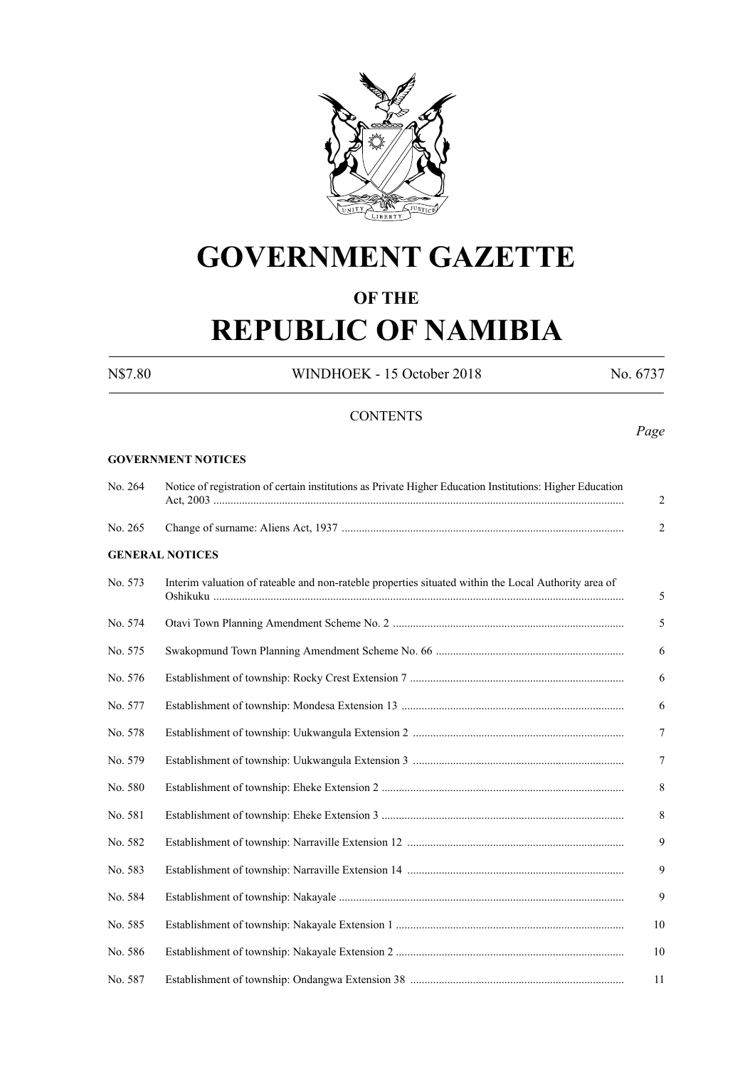

# **GOVERNMENT GAZETTE**

# **OF THE**

# **REPUBLIC OF NAMIBIA**

N\$7.80 WINDHOEK - 15 October 2018 No. 6737

*Page*

# **CONTENTS**

#### **GOVERNMENT NOTICES**

| No. 264 | Notice of registration of certain institutions as Private Higher Education Institutions: Higher Education | 2              |
|---------|-----------------------------------------------------------------------------------------------------------|----------------|
| No. 265 |                                                                                                           | $\overline{2}$ |
|         | <b>GENERAL NOTICES</b>                                                                                    |                |
| No. 573 | Interim valuation of rateable and non-rateble properties situated within the Local Authority area of      | 5              |
| No. 574 |                                                                                                           | 5              |
| No. 575 |                                                                                                           | 6              |
| No. 576 |                                                                                                           | 6              |
| No. 577 |                                                                                                           | 6              |
| No. 578 |                                                                                                           | $\overline{7}$ |
| No. 579 |                                                                                                           | $\overline{7}$ |
| No. 580 |                                                                                                           | 8              |
| No. 581 |                                                                                                           | 8              |
| No. 582 |                                                                                                           | 9              |
| No. 583 |                                                                                                           | 9              |
| No. 584 |                                                                                                           | 9              |
| No. 585 |                                                                                                           | 10             |
| No. 586 |                                                                                                           | 10             |
| No. 587 |                                                                                                           | 11             |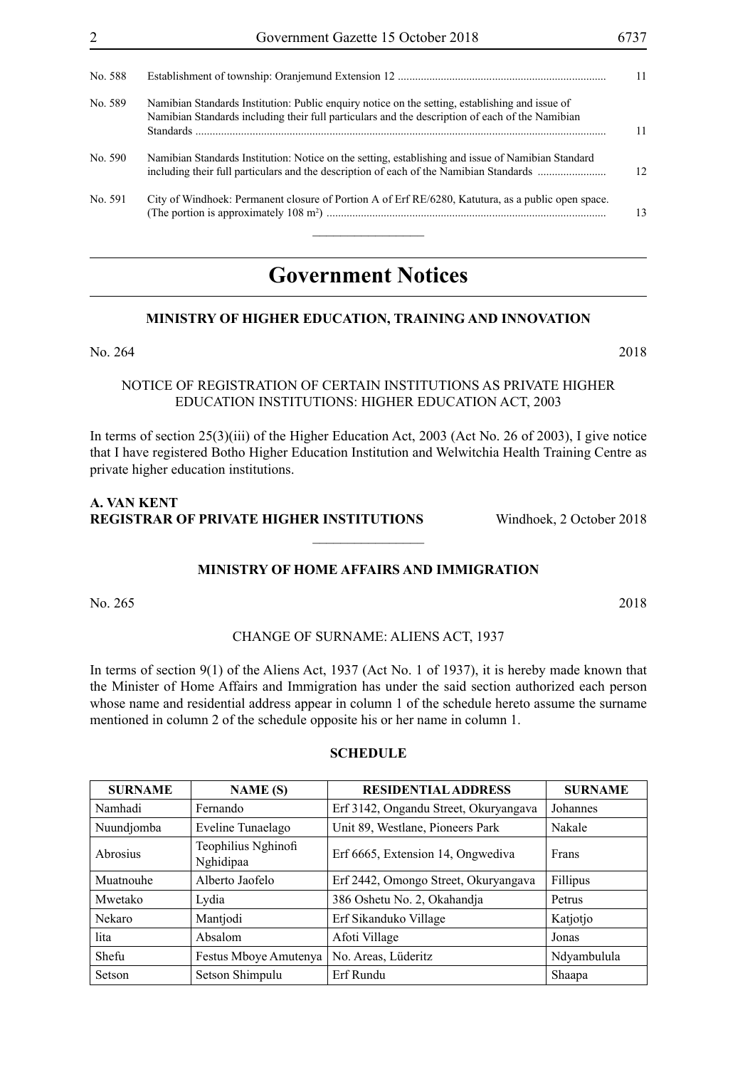| No. 588 |                                                                                                                                                                                                    | 11 |
|---------|----------------------------------------------------------------------------------------------------------------------------------------------------------------------------------------------------|----|
| No. 589 | Namibian Standards Institution: Public enquiry notice on the setting, establishing and issue of<br>Namibian Standards including their full particulars and the description of each of the Namibian | 11 |
| No. 590 | Namibian Standards Institution: Notice on the setting, establishing and issue of Namibian Standard<br>including their full particulars and the description of each of the Namibian Standards       | 12 |
| No. 591 | City of Windhoek: Permanent closure of Portion A of Erf RE/6280, Katutura, as a public open space.                                                                                                 | 13 |

# **Government Notices**

# **MINISTRY OF HIGHER EDUCATION, TRAINING AND INNOVATION**

# NOTICE OF REGISTRATION OF CERTAIN INSTITUTIONS AS PRIVATE HIGHER EDUCATION INSTITUTIONS: HIGHER EDUCATION ACT, 2003

In terms of section 25(3)(iii) of the Higher Education Act, 2003 (Act No. 26 of 2003), I give notice that I have registered Botho Higher Education Institution and Welwitchia Health Training Centre as private higher education institutions.

# **A. VAN KENT REGISTRAR OF PRIVATE HIGHER INSTITUTIONS** Windhoek, 2 October 2018

# **MINISTRY OF HOME AFFAIRS AND IMMIGRATION**

 $\overline{\phantom{a}}$  , where  $\overline{\phantom{a}}$ 

No. 265 2018

#### CHANGE OF SURNAME: ALIENS ACT, 1937

In terms of section 9(1) of the Aliens Act, 1937 (Act No. 1 of 1937), it is hereby made known that the Minister of Home Affairs and Immigration has under the said section authorized each person whose name and residential address appear in column 1 of the schedule hereto assume the surname mentioned in column 2 of the schedule opposite his or her name in column 1.

#### **SCHEDULE**

| <b>SURNAME</b>  | <b>NAME</b> (S)                  | <b>RESIDENTIAL ADDRESS</b>            | <b>SURNAME</b> |
|-----------------|----------------------------------|---------------------------------------|----------------|
| Namhadi         | Fernando                         | Erf 3142, Ongandu Street, Okuryangava | Johannes       |
| Nuundjomba      | Eveline Tunaelago                | Unit 89, Westlane, Pioneers Park      | Nakale         |
| <b>Abrosius</b> | Teophilius Nghinofi<br>Nghidipaa | Erf 6665, Extension 14, Ongwediva     | Frans          |
| Muatnouhe       | Alberto Jaofelo                  | Erf 2442, Omongo Street, Okuryangava  | Fillipus       |
| Mwetako         | Lydia                            | 386 Oshetu No. 2, Okahandja           | Petrus         |
| Nekaro          | Mantjodi                         | Erf Sikanduko Village                 | Katjotjo       |
| lita            | Absalom                          | Afoti Village                         | Jonas          |
| Shefu           | Festus Mboye Amutenya            | No. Areas, Lüderitz                   | Ndyambulula    |
| Setson          | Setson Shimpulu                  | Erf Rundu                             | Shaapa         |

No. 264 2018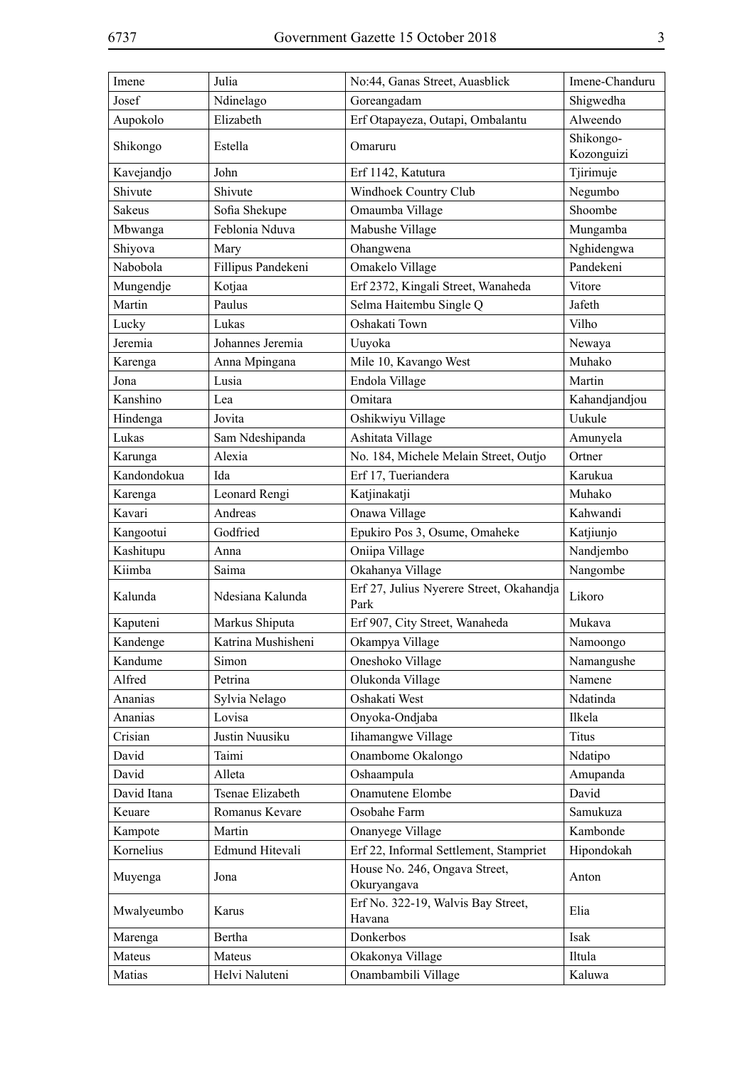| Imene         | Julia              | No:44, Ganas Street, Auasblick                   | Imene-Chanduru          |
|---------------|--------------------|--------------------------------------------------|-------------------------|
| Josef         | Ndinelago          | Goreangadam                                      | Shigwedha               |
| Aupokolo      | Elizabeth          | Erf Otapayeza, Outapi, Ombalantu                 | Alweendo                |
| Shikongo      | Estella            | Omaruru                                          | Shikongo-<br>Kozonguizi |
| Kavejandjo    | John               | Erf 1142, Katutura                               | Tjirimuje               |
| Shivute       | Shivute            | Windhoek Country Club                            | Negumbo                 |
| <b>Sakeus</b> | Sofia Shekupe      | Omaumba Village                                  | Shoombe                 |
| Mbwanga       | Feblonia Nduva     | Mabushe Village                                  | Mungamba                |
| Shiyova       | Mary               | Ohangwena                                        | Nghidengwa              |
| Nabobola      | Fillipus Pandekeni | Omakelo Village                                  | Pandekeni               |
| Mungendje     | Kotjaa             | Erf 2372, Kingali Street, Wanaheda               | Vitore                  |
| Martin        | Paulus             | Selma Haitembu Single Q                          | Jafeth                  |
| Lucky         | Lukas              | Oshakati Town                                    | Vilho                   |
| Jeremia       | Johannes Jeremia   | Uuyoka                                           | Newaya                  |
| Karenga       | Anna Mpingana      | Mile 10, Kavango West                            | Muhako                  |
| Jona          | Lusia              | Endola Village                                   | Martin                  |
| Kanshino      | Lea                | Omitara                                          | Kahandjandjou           |
| Hindenga      | Jovita             | Oshikwiyu Village                                | Uukule                  |
| Lukas         | Sam Ndeshipanda    | Ashitata Village                                 | Amunyela                |
| Karunga       | Alexia             | No. 184, Michele Melain Street, Outjo            | Ortner                  |
| Kandondokua   | Ida                | Erf 17, Tueriandera                              | Karukua                 |
| Karenga       | Leonard Rengi      | Katjinakatji                                     | Muhako                  |
| Kavari        | Andreas            | Onawa Village                                    | Kahwandi                |
| Kangootui     | Godfried           | Epukiro Pos 3, Osume, Omaheke                    | Katjiunjo               |
| Kashitupu     | Anna               | Oniipa Village                                   | Nandjembo               |
| Kiimba        | Saima              | Okahanya Village                                 | Nangombe                |
| Kalunda       | Ndesiana Kalunda   | Erf 27, Julius Nyerere Street, Okahandja<br>Park | Likoro                  |
| Kaputeni      | Markus Shiputa     | Erf 907, City Street, Wanaheda                   | Mukava                  |
| Kandenge      | Katrina Mushisheni | Okampya Village                                  | Namoongo                |
| Kandume       | Simon              | Oneshoko Village                                 | Namangushe              |
| Alfred        | Petrina            | Olukonda Village                                 | Namene                  |
| Ananias       | Sylvia Nelago      | Oshakati West                                    | Ndatinda                |
| Ananias       | Lovisa             | Onyoka-Ondjaba                                   | Ilkela                  |
| Crisian       | Justin Nuusiku     | Iihamangwe Village                               | <b>Titus</b>            |
| David         | Taimi              | Onambome Okalongo                                | Ndatipo                 |
| David         | Alleta             | Oshaampula                                       | Amupanda                |
| David Itana   | Tsenae Elizabeth   | Onamutene Elombe                                 | David                   |
| Keuare        | Romanus Kevare     | Osobahe Farm                                     | Samukuza                |
| Kampote       | Martin             | Onanyege Village                                 | Kambonde                |
| Kornelius     | Edmund Hitevali    | Erf 22, Informal Settlement, Stampriet           | Hipondokah              |
| Muyenga       | Jona               | House No. 246, Ongava Street,<br>Okuryangava     | Anton                   |
| Mwalyeumbo    | Karus              | Erf No. 322-19, Walvis Bay Street,<br>Havana     | Elia                    |
| Marenga       | Bertha             | Donkerbos                                        | Isak                    |
| Mateus        | Mateus             | Okakonya Village                                 | Iltula                  |
| Matias        | Helvi Naluteni     | Onambambili Village                              | Kaluwa                  |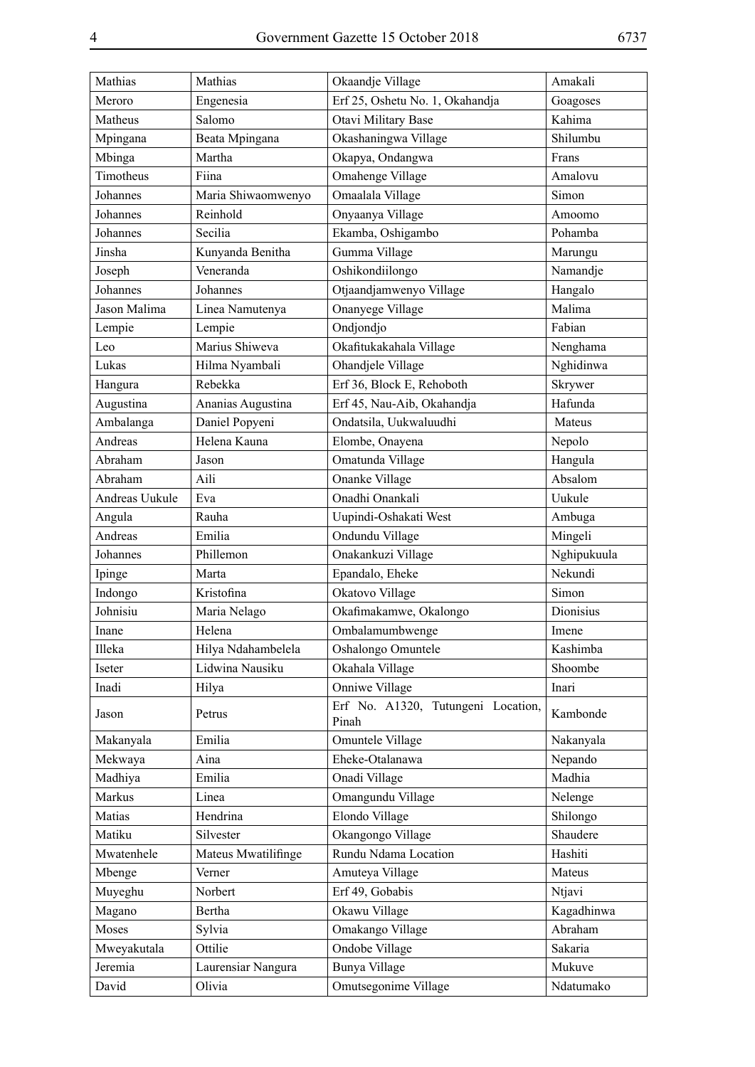| Mathias        | Mathias             | Okaandje Village                            | Amakali     |
|----------------|---------------------|---------------------------------------------|-------------|
| Meroro         | Engenesia           | Erf 25, Oshetu No. 1, Okahandja             | Goagoses    |
| Matheus        | Salomo              | Otavi Military Base                         | Kahima      |
| Mpingana       | Beata Mpingana      | Okashaningwa Village                        | Shilumbu    |
| Mbinga         | Martha              | Okapya, Ondangwa                            | Frans       |
| Timotheus      | Fiina               | Omahenge Village                            | Amalovu     |
| Johannes       | Maria Shiwaomwenyo  | Omaalala Village                            | Simon       |
| Johannes       | Reinhold            | Onyaanya Village                            | Amoomo      |
| Johannes       | Secilia             | Ekamba, Oshigambo                           | Pohamba     |
| Jinsha         | Kunyanda Benitha    | Gumma Village                               | Marungu     |
| Joseph         | Veneranda           | Oshikondiilongo                             | Namandje    |
| Johannes       | Johannes            | Otjaandjamwenyo Village                     | Hangalo     |
| Jason Malima   | Linea Namutenya     | Onanyege Village                            | Malima      |
| Lempie         | Lempie              | Ondjondjo                                   | Fabian      |
| Leo            | Marius Shiweva      | Okafitukakahala Village                     | Nenghama    |
| Lukas          | Hilma Nyambali      | Ohandjele Village                           | Nghidinwa   |
| Hangura        | Rebekka             | Erf 36, Block E, Rehoboth                   | Skrywer     |
| Augustina      | Ananias Augustina   | Erf 45, Nau-Aib, Okahandja                  | Hafunda     |
| Ambalanga      | Daniel Popyeni      | Ondatsila, Uukwaluudhi                      | Mateus      |
| Andreas        | Helena Kauna        | Elombe, Onayena                             | Nepolo      |
| Abraham        | Jason               | Omatunda Village                            | Hangula     |
| Abraham        | Aili                | Onanke Village                              | Absalom     |
| Andreas Uukule | Eva                 | Onadhi Onankali                             | Uukule      |
| Angula         | Rauha               | Uupindi-Oshakati West                       | Ambuga      |
| Andreas        | Emilia              | Ondundu Village                             | Mingeli     |
| Johannes       | Phillemon           | Onakankuzi Village                          | Nghipukuula |
| Ipinge         | Marta               | Epandalo, Eheke                             | Nekundi     |
| Indongo        | Kristofina          | Okatovo Village                             | Simon       |
| Johnisiu       | Maria Nelago        | Okafimakamwe, Okalongo                      | Dionisius   |
| Inane          | Helena              | Ombalamumbwenge                             | Imene       |
| Illeka         | Hilya Ndahambelela  | Oshalongo Omuntele                          | Kashimba    |
| Iseter         | Lidwina Nausiku     | Okahala Village                             | Shoombe     |
| Inadi          | Hilya               | Onniwe Village                              | Inari       |
| Jason          | Petrus              | Erf No. A1320, Tutungeni Location,<br>Pinah | Kambonde    |
| Makanyala      | Emilia              | Omuntele Village                            | Nakanyala   |
| Mekwaya        | Aina                | Eheke-Otalanawa                             | Nepando     |
| Madhiya        | Emilia              | Onadi Village                               | Madhia      |
| Markus         | Linea               | Omangundu Village                           | Nelenge     |
| Matias         | Hendrina            | Elondo Village                              | Shilongo    |
| Matiku         | Silvester           | Okangongo Village                           | Shaudere    |
| Mwatenhele     | Mateus Mwatilifinge | Rundu Ndama Location                        | Hashiti     |
| Mbenge         | Verner              | Amuteya Village                             | Mateus      |
| Muyeghu        | Norbert             | Erf 49, Gobabis                             | Ntjavi      |
| Magano         | Bertha              | Okawu Village                               | Kagadhinwa  |
| Moses          | Sylvia              | Omakango Village                            | Abraham     |
| Mweyakutala    | Ottilie             | Ondobe Village                              | Sakaria     |
| Jeremia        | Laurensiar Nangura  | <b>Bunya Village</b>                        | Mukuve      |
| David          | Olivia              | Omutsegonime Village                        | Ndatumako   |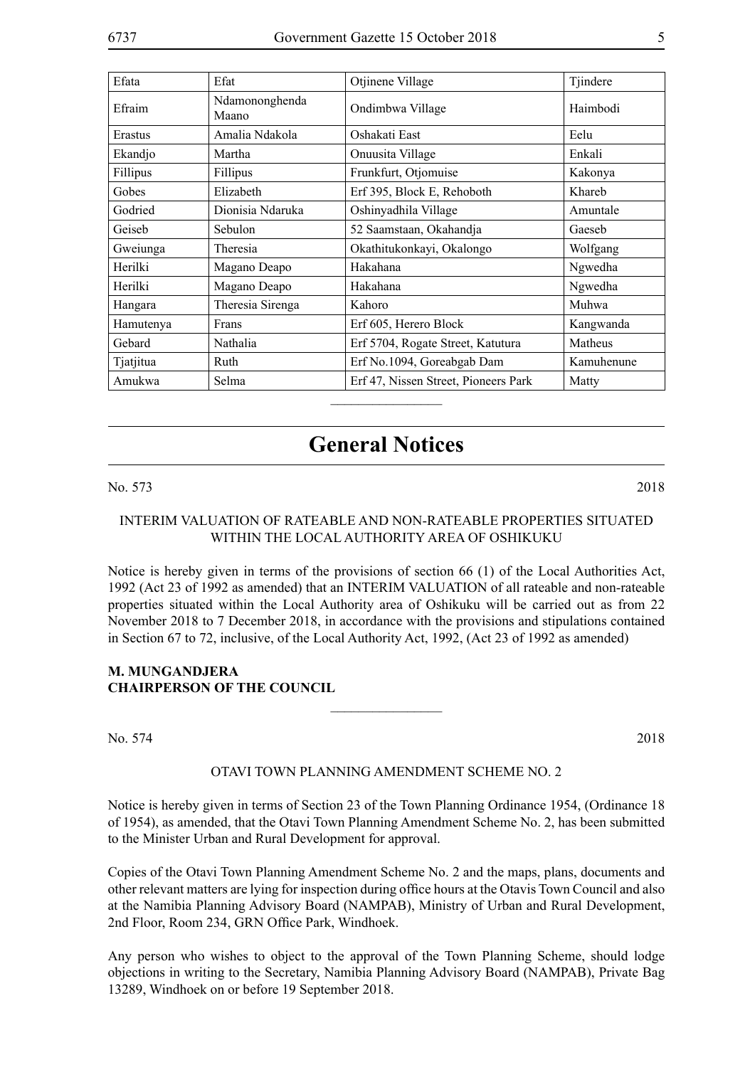| Efata     | Efat                    | Otjinene Village                     | Tjindere   |
|-----------|-------------------------|--------------------------------------|------------|
| Efraim    | Ndamononghenda<br>Maano | Ondimbwa Village                     | Haimbodi   |
| Erastus   | Amalia Ndakola          | Oshakati East                        | Eelu       |
| Ekandjo   | Martha                  | Onuusita Village                     | Enkali     |
| Fillipus  | Fillipus                | Frunkfurt, Otjomuise                 | Kakonya    |
| Gobes     | Elizabeth               | Erf 395, Block E, Rehoboth           | Khareb     |
| Godried   | Dionisia Ndaruka        | Oshinyadhila Village                 | Amuntale   |
| Geiseb    | <b>Sebulon</b>          | 52 Saamstaan, Okahandja              | Gaeseb     |
| Gweiunga  | Theresia                | Okathitukonkayi, Okalongo            | Wolfgang   |
| Herilki   | Magano Deapo            | Hakahana                             | Ngwedha    |
| Herilki   | Magano Deapo            | Hakahana                             | Ngwedha    |
| Hangara   | Theresia Sirenga        | Kahoro                               | Muhwa      |
| Hamutenya | Frans                   | Erf 605, Herero Block                | Kangwanda  |
| Gebard    | Nathalia                | Erf 5704, Rogate Street, Katutura    | Matheus    |
| Tjatjitua | Ruth                    | Erf No.1094, Goreabgab Dam           | Kamuhenune |
| Amukwa    | Selma                   | Erf 47, Nissen Street, Pioneers Park | Matty      |

# **General Notices**

No. 573 2018

# INTERIM VALUATION OF RATEABLE AND NON-RATEABLE PROPERTIES SITUATED WITHIN THE LOCAL AUTHORITY AREA OF OSHIKUKU

Notice is hereby given in terms of the provisions of section 66 (1) of the Local Authorities Act, 1992 (Act 23 of 1992 as amended) that an INTERIM VALUATION of all rateable and non-rateable properties situated within the Local Authority area of Oshikuku will be carried out as from 22 November 2018 to 7 December 2018, in accordance with the provisions and stipulations contained in Section 67 to 72, inclusive, of the Local Authority Act, 1992, (Act 23 of 1992 as amended)

# **M. MUNGANDJERA Chairperson of the Council**

No. 574 2018

#### OTAVI TOWN PLANNING AMENDMENT SCHEME NO. 2

 $\frac{1}{2}$ 

Notice is hereby given in terms of Section 23 of the Town Planning Ordinance 1954, (Ordinance 18 of 1954), as amended, that the Otavi Town Planning Amendment Scheme No. 2, has been submitted to the Minister Urban and Rural Development for approval.

Copies of the Otavi Town Planning Amendment Scheme No. 2 and the maps, plans, documents and other relevant matters are lying for inspection during office hours at the Otavis Town Council and also at the Namibia Planning Advisory Board (NAMPAB), Ministry of Urban and Rural Development, 2nd Floor, Room 234, GRN Office Park, Windhoek.

Any person who wishes to object to the approval of the Town Planning Scheme, should lodge objections in writing to the Secretary, Namibia Planning Advisory Board (NAMPAB), Private Bag 13289, Windhoek on or before 19 September 2018.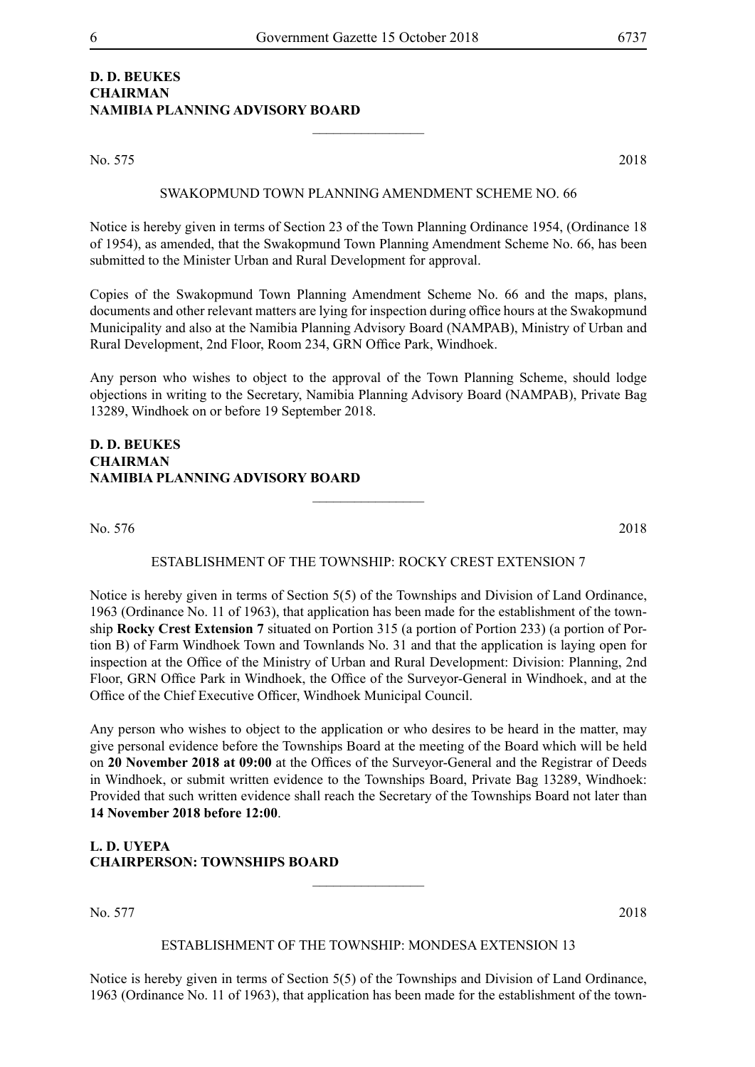# **D. D. BEUKES CHAIRMAN NAMIBIA PLANNING ADVISORY BOARD**

No. 575 2018

SWAKOPMUND TOWN PLANNING AMENDMENT SCHEME NO. 66

 $\frac{1}{2}$ 

Notice is hereby given in terms of Section 23 of the Town Planning Ordinance 1954, (Ordinance 18 of 1954), as amended, that the Swakopmund Town Planning Amendment Scheme No. 66, has been submitted to the Minister Urban and Rural Development for approval.

Copies of the Swakopmund Town Planning Amendment Scheme No. 66 and the maps, plans, documents and other relevant matters are lying for inspection during office hours at the Swakopmund Municipality and also at the Namibia Planning Advisory Board (NAMPAB), Ministry of Urban and Rural Development, 2nd Floor, Room 234, GRN Office Park, Windhoek.

Any person who wishes to object to the approval of the Town Planning Scheme, should lodge objections in writing to the Secretary, Namibia Planning Advisory Board (NAMPAB), Private Bag 13289, Windhoek on or before 19 September 2018.

# **D. D. BEUKES CHAIRMAN NAMIBIA PLANNING ADVISORY BOARD**

No. 576 2018

#### ESTABLISHMENT OF THE TOWNSHIP: ROCKY CREST EXTENSION 7

 $\overline{\phantom{a}}$  , where  $\overline{\phantom{a}}$ 

Notice is hereby given in terms of Section 5(5) of the Townships and Division of Land Ordinance, 1963 (Ordinance No. 11 of 1963), that application has been made for the establishment of the township **Rocky Crest Extension 7** situated on Portion 315 (a portion of Portion 233) (a portion of Portion B) of Farm Windhoek Town and Townlands No. 31 and that the application is laying open for inspection at the Office of the Ministry of Urban and Rural Development: Division: Planning, 2nd Floor, GRN Office Park in Windhoek, the Office of the Surveyor-General in Windhoek, and at the Office of the Chief Executive Officer, Windhoek Municipal Council.

Any person who wishes to object to the application or who desires to be heard in the matter, may give personal evidence before the Townships Board at the meeting of the Board which will be held on **20 November 2018 at 09:00** at the Offices of the Surveyor-General and the Registrar of Deeds in Windhoek, or submit written evidence to the Townships Board, Private Bag 13289, Windhoek: Provided that such written evidence shall reach the Secretary of the Townships Board not later than **14 November 2018 before 12:00**.

**L. D. UYEPA CHAIRPERSON: TOWNSHIPS BOARD**

No. 577 2018

#### ESTABLISHMENT OF THE TOWNSHIP: MONDESA EXTENSION 13

Notice is hereby given in terms of Section 5(5) of the Townships and Division of Land Ordinance, 1963 (Ordinance No. 11 of 1963), that application has been made for the establishment of the town-

 $\frac{1}{2}$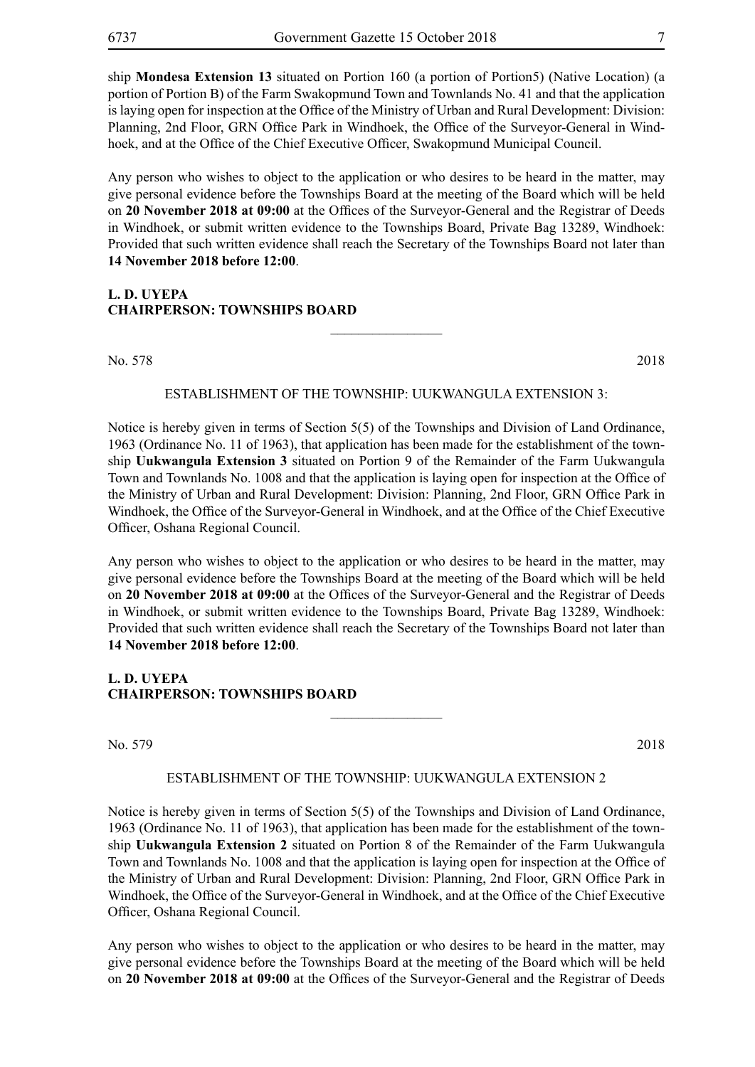ship **Mondesa Extension 13** situated on Portion 160 (a portion of Portion5) (Native Location) (a portion of Portion B) of the Farm Swakopmund Town and Townlands No. 41 and that the application is laying open for inspection at the Office of the Ministry of Urban and Rural Development: Division: Planning, 2nd Floor, GRN Office Park in Windhoek, the Office of the Surveyor-General in Windhoek, and at the Office of the Chief Executive Officer, Swakopmund Municipal Council.

Any person who wishes to object to the application or who desires to be heard in the matter, may give personal evidence before the Townships Board at the meeting of the Board which will be held on **20 November 2018 at 09:00** at the Offices of the Surveyor-General and the Registrar of Deeds in Windhoek, or submit written evidence to the Townships Board, Private Bag 13289, Windhoek: Provided that such written evidence shall reach the Secretary of the Townships Board not later than **14 November 2018 before 12:00**.

# **L. D. UYEPA CHAIRPERSON: TOWNSHIPS BOARD**

No. 578 2018

#### ESTABLISHMENT OF THE TOWNSHIP: UUKWANGULA EXTENSION 3:

 $\overline{\phantom{a}}$  , where  $\overline{\phantom{a}}$ 

Notice is hereby given in terms of Section 5(5) of the Townships and Division of Land Ordinance, 1963 (Ordinance No. 11 of 1963), that application has been made for the establishment of the township **Uukwangula Extension 3** situated on Portion 9 of the Remainder of the Farm Uukwangula Town and Townlands No. 1008 and that the application is laying open for inspection at the Office of the Ministry of Urban and Rural Development: Division: Planning, 2nd Floor, GRN Office Park in Windhoek, the Office of the Surveyor-General in Windhoek, and at the Office of the Chief Executive Officer, Oshana Regional Council.

Any person who wishes to object to the application or who desires to be heard in the matter, may give personal evidence before the Townships Board at the meeting of the Board which will be held on **20 November 2018 at 09:00** at the Offices of the Surveyor-General and the Registrar of Deeds in Windhoek, or submit written evidence to the Townships Board, Private Bag 13289, Windhoek: Provided that such written evidence shall reach the Secretary of the Townships Board not later than **14 November 2018 before 12:00**.

# **L. D. UYEPA CHAIRPERSON: TOWNSHIPS BOARD**

No. 579 2018

#### ESTABLISHMENT OF THE TOWNSHIP: UUKWANGULA EXTENSION 2

 $\frac{1}{2}$ 

Notice is hereby given in terms of Section 5(5) of the Townships and Division of Land Ordinance, 1963 (Ordinance No. 11 of 1963), that application has been made for the establishment of the township **Uukwangula Extension 2** situated on Portion 8 of the Remainder of the Farm Uukwangula Town and Townlands No. 1008 and that the application is laying open for inspection at the Office of the Ministry of Urban and Rural Development: Division: Planning, 2nd Floor, GRN Office Park in Windhoek, the Office of the Surveyor-General in Windhoek, and at the Office of the Chief Executive Officer, Oshana Regional Council.

Any person who wishes to object to the application or who desires to be heard in the matter, may give personal evidence before the Townships Board at the meeting of the Board which will be held on **20 November 2018 at 09:00** at the Offices of the Surveyor-General and the Registrar of Deeds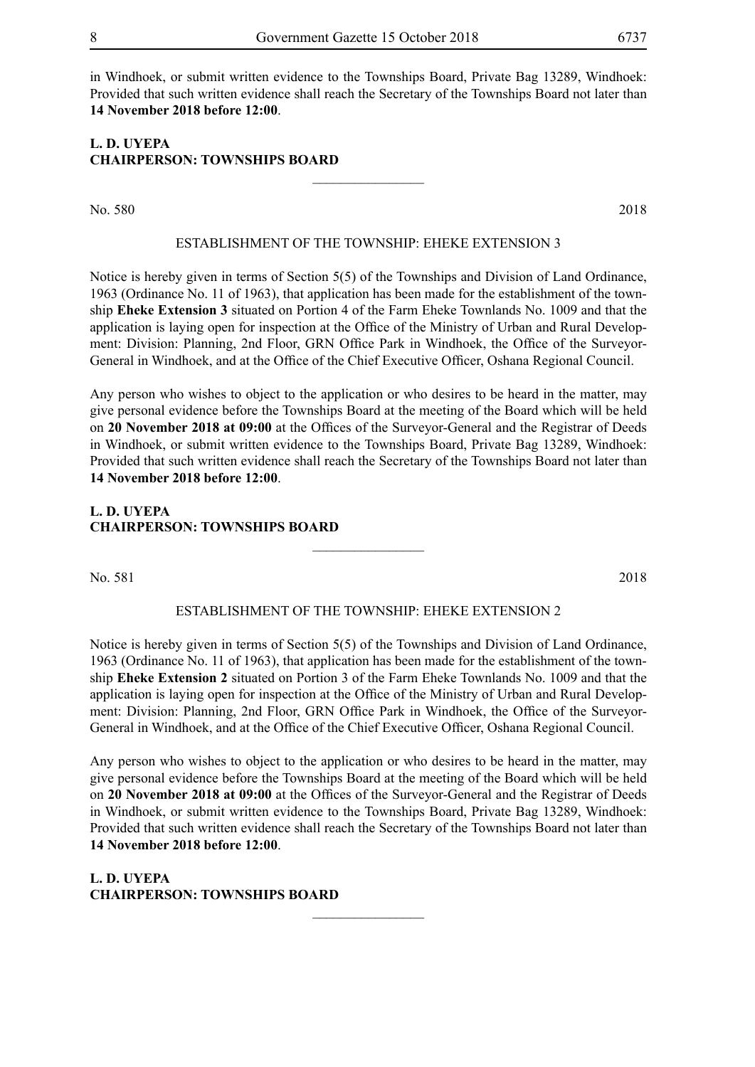in Windhoek, or submit written evidence to the Townships Board, Private Bag 13289, Windhoek: Provided that such written evidence shall reach the Secretary of the Townships Board not later than **14 November 2018 before 12:00**.

# **L. D. UYEPA CHAIRPERSON: TOWNSHIPS BOARD**

No. 580 2018

# ESTABLISHMENT OF THE TOWNSHIP: eheke EXTENSION 3

 $\overline{\phantom{a}}$  , where  $\overline{\phantom{a}}$ 

Notice is hereby given in terms of Section 5(5) of the Townships and Division of Land Ordinance, 1963 (Ordinance No. 11 of 1963), that application has been made for the establishment of the township **Eheke Extension 3** situated on Portion 4 of the Farm Eheke Townlands No. 1009 and that the application is laying open for inspection at the Office of the Ministry of Urban and Rural Development: Division: Planning, 2nd Floor, GRN Office Park in Windhoek, the Office of the Surveyor-General in Windhoek, and at the Office of the Chief Executive Officer, Oshana Regional Council.

Any person who wishes to object to the application or who desires to be heard in the matter, may give personal evidence before the Townships Board at the meeting of the Board which will be held on **20 November 2018 at 09:00** at the Offices of the Surveyor-General and the Registrar of Deeds in Windhoek, or submit written evidence to the Townships Board, Private Bag 13289, Windhoek: Provided that such written evidence shall reach the Secretary of the Townships Board not later than **14 November 2018 before 12:00**.

# **L. D. UYEPA CHAIRPERSON: TOWNSHIPS BOARD**

No. 581 2018

#### ESTABLISHMENT OF THE TOWNSHIP: eheke EXTENSION 2

 $\frac{1}{2}$ 

Notice is hereby given in terms of Section 5(5) of the Townships and Division of Land Ordinance, 1963 (Ordinance No. 11 of 1963), that application has been made for the establishment of the township **Eheke Extension 2** situated on Portion 3 of the Farm Eheke Townlands No. 1009 and that the application is laying open for inspection at the Office of the Ministry of Urban and Rural Development: Division: Planning, 2nd Floor, GRN Office Park in Windhoek, the Office of the Surveyor-General in Windhoek, and at the Office of the Chief Executive Officer, Oshana Regional Council.

Any person who wishes to object to the application or who desires to be heard in the matter, may give personal evidence before the Townships Board at the meeting of the Board which will be held on **20 November 2018 at 09:00** at the Offices of the Surveyor-General and the Registrar of Deeds in Windhoek, or submit written evidence to the Townships Board, Private Bag 13289, Windhoek: Provided that such written evidence shall reach the Secretary of the Townships Board not later than **14 November 2018 before 12:00**.

 $\frac{1}{2}$ 

**L. D. UYEPA CHAIRPERSON: TOWNSHIPS BOARD**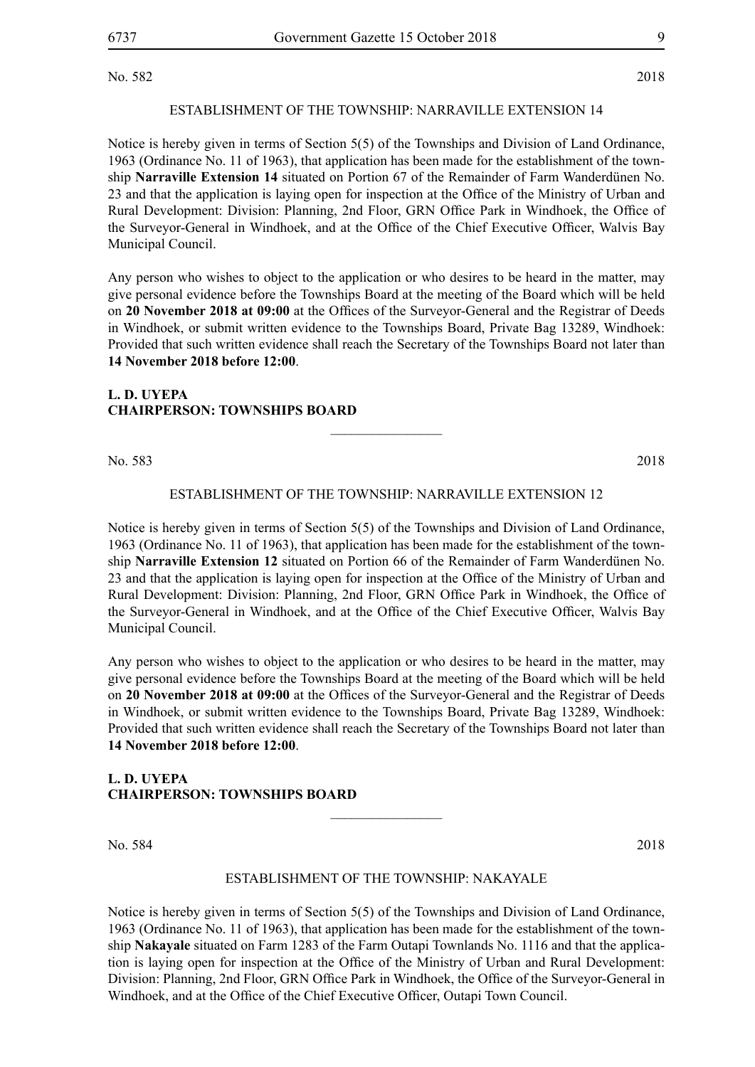No. 582 2018

# ESTABLISHMENT OF THE TOWNSHIP: Narraville EXTENSION 14

Notice is hereby given in terms of Section 5(5) of the Townships and Division of Land Ordinance, 1963 (Ordinance No. 11 of 1963), that application has been made for the establishment of the township **Narraville Extension 14** situated on Portion 67 of the Remainder of Farm Wanderdünen No. 23 and that the application is laying open for inspection at the Office of the Ministry of Urban and Rural Development: Division: Planning, 2nd Floor, GRN Office Park in Windhoek, the Office of the Surveyor-General in Windhoek, and at the Office of the Chief Executive Officer, Walvis Bay Municipal Council.

Any person who wishes to object to the application or who desires to be heard in the matter, may give personal evidence before the Townships Board at the meeting of the Board which will be held on **20 November 2018 at 09:00** at the Offices of the Surveyor-General and the Registrar of Deeds in Windhoek, or submit written evidence to the Townships Board, Private Bag 13289, Windhoek: Provided that such written evidence shall reach the Secretary of the Townships Board not later than **14 November 2018 before 12:00**.

# **L. D. UYEPA CHAIRPERSON: TOWNSHIPS BOARD**

No. 583 2018

# ESTABLISHMENT OF THE TOWNSHIP: Narraville EXTENSION 12

 $\frac{1}{2}$ 

Notice is hereby given in terms of Section 5(5) of the Townships and Division of Land Ordinance, 1963 (Ordinance No. 11 of 1963), that application has been made for the establishment of the township **Narraville Extension 12** situated on Portion 66 of the Remainder of Farm Wanderdünen No. 23 and that the application is laying open for inspection at the Office of the Ministry of Urban and Rural Development: Division: Planning, 2nd Floor, GRN Office Park in Windhoek, the Office of the Surveyor-General in Windhoek, and at the Office of the Chief Executive Officer, Walvis Bay Municipal Council.

Any person who wishes to object to the application or who desires to be heard in the matter, may give personal evidence before the Townships Board at the meeting of the Board which will be held on **20 November 2018 at 09:00** at the Offices of the Surveyor-General and the Registrar of Deeds in Windhoek, or submit written evidence to the Townships Board, Private Bag 13289, Windhoek: Provided that such written evidence shall reach the Secretary of the Townships Board not later than **14 November 2018 before 12:00**.

# **L. D. UYEPA CHAIRPERSON: TOWNSHIPS BOARD**

No. 584 2018

#### ESTABLISHMENT OF THE TOWNSHIP: Nakayale

 $\overline{\phantom{a}}$  , where  $\overline{\phantom{a}}$ 

Notice is hereby given in terms of Section 5(5) of the Townships and Division of Land Ordinance, 1963 (Ordinance No. 11 of 1963), that application has been made for the establishment of the township **Nakayale** situated on Farm 1283 of the Farm Outapi Townlands No. 1116 and that the application is laying open for inspection at the Office of the Ministry of Urban and Rural Development: Division: Planning, 2nd Floor, GRN Office Park in Windhoek, the Office of the Surveyor-General in Windhoek, and at the Office of the Chief Executive Officer, Outapi Town Council.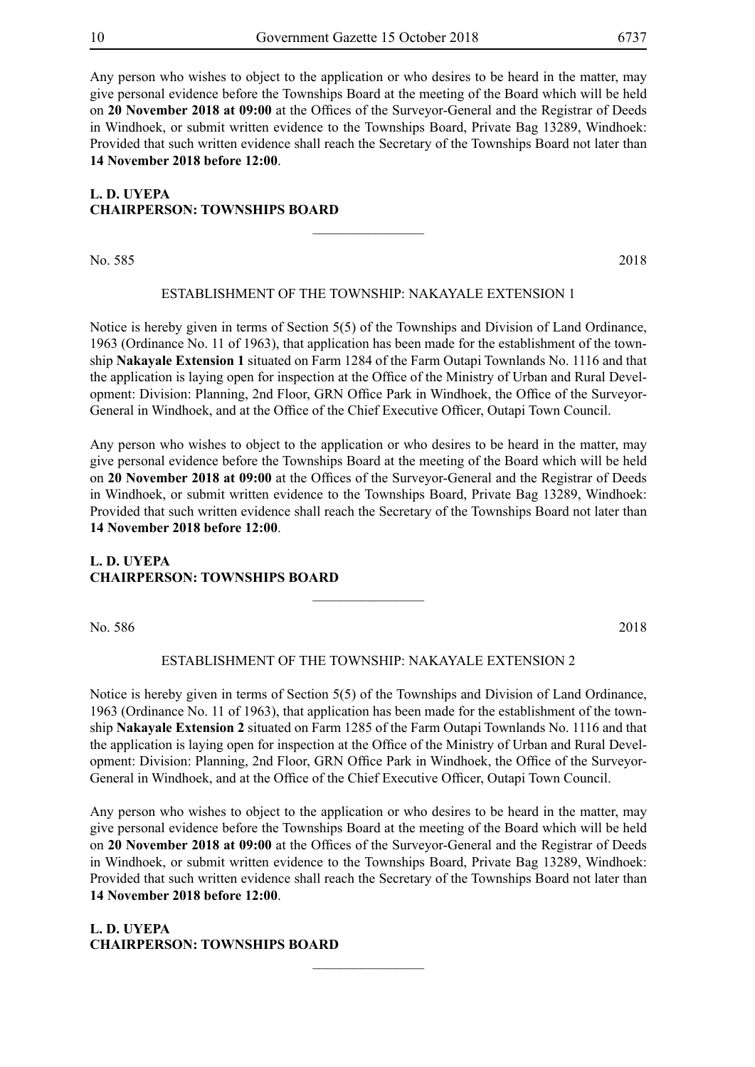Any person who wishes to object to the application or who desires to be heard in the matter, may give personal evidence before the Townships Board at the meeting of the Board which will be held on **20 November 2018 at 09:00** at the Offices of the Surveyor-General and the Registrar of Deeds in Windhoek, or submit written evidence to the Townships Board, Private Bag 13289, Windhoek: Provided that such written evidence shall reach the Secretary of the Townships Board not later than **14 November 2018 before 12:00**.

# **L. D. UYEPA CHAIRPERSON: TOWNSHIPS BOARD**

No. 585 2018

# ESTABLISHMENT OF THE TOWNSHIP: Nakayale EXTENSION 1

 $\overline{\phantom{a}}$  , where  $\overline{\phantom{a}}$ 

Notice is hereby given in terms of Section 5(5) of the Townships and Division of Land Ordinance, 1963 (Ordinance No. 11 of 1963), that application has been made for the establishment of the township **Nakayale Extension 1** situated on Farm 1284 of the Farm Outapi Townlands No. 1116 and that the application is laying open for inspection at the Office of the Ministry of Urban and Rural Development: Division: Planning, 2nd Floor, GRN Office Park in Windhoek, the Office of the Surveyor-General in Windhoek, and at the Office of the Chief Executive Officer, Outapi Town Council.

Any person who wishes to object to the application or who desires to be heard in the matter, may give personal evidence before the Townships Board at the meeting of the Board which will be held on **20 November 2018 at 09:00** at the Offices of the Surveyor-General and the Registrar of Deeds in Windhoek, or submit written evidence to the Townships Board, Private Bag 13289, Windhoek: Provided that such written evidence shall reach the Secretary of the Townships Board not later than **14 November 2018 before 12:00**.

# **L. D. UYEPA CHAIRPERSON: TOWNSHIPS BOARD**

No. 586 2018

# ESTABLISHMENT OF THE TOWNSHIP: Nakayale EXTENSION 2

 $\overline{\phantom{a}}$  , where  $\overline{\phantom{a}}$ 

Notice is hereby given in terms of Section 5(5) of the Townships and Division of Land Ordinance, 1963 (Ordinance No. 11 of 1963), that application has been made for the establishment of the township **Nakayale Extension 2** situated on Farm 1285 of the Farm Outapi Townlands No. 1116 and that the application is laying open for inspection at the Office of the Ministry of Urban and Rural Development: Division: Planning, 2nd Floor, GRN Office Park in Windhoek, the Office of the Surveyor-General in Windhoek, and at the Office of the Chief Executive Officer, Outapi Town Council.

Any person who wishes to object to the application or who desires to be heard in the matter, may give personal evidence before the Townships Board at the meeting of the Board which will be held on **20 November 2018 at 09:00** at the Offices of the Surveyor-General and the Registrar of Deeds in Windhoek, or submit written evidence to the Townships Board, Private Bag 13289, Windhoek: Provided that such written evidence shall reach the Secretary of the Townships Board not later than **14 November 2018 before 12:00**.

 $\frac{1}{2}$ 

**L. D. UYEPA CHAIRPERSON: TOWNSHIPS BOARD**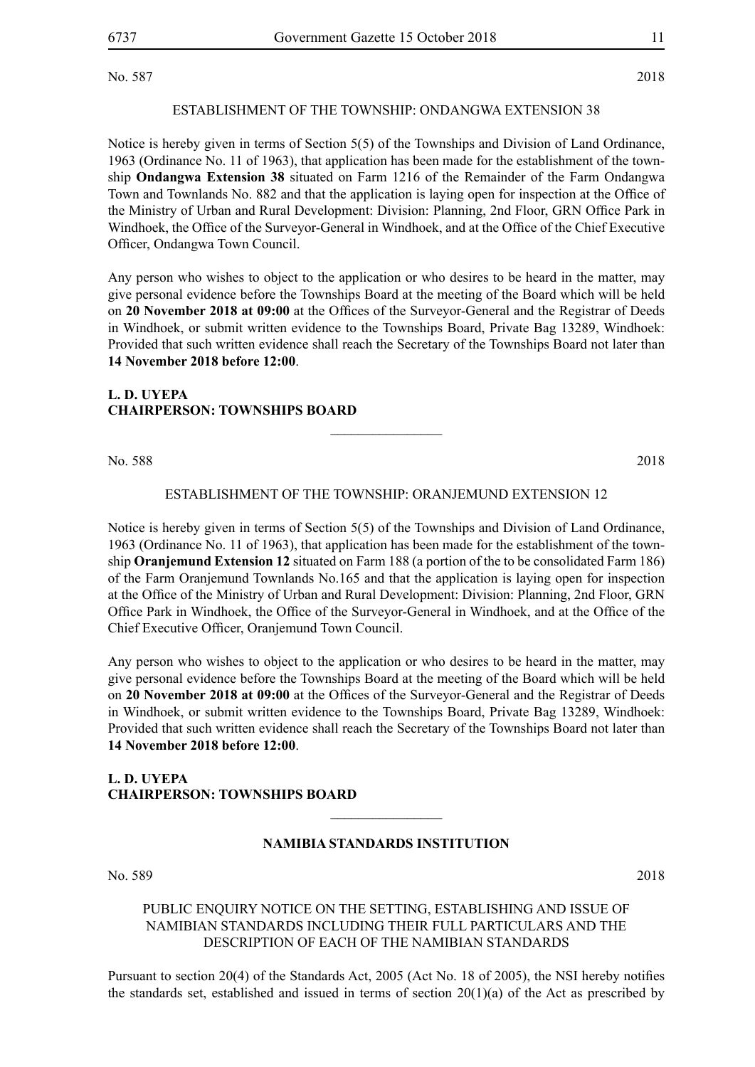No. 587 2018

# ESTABLISHMENT OF THE TOWNSHIP: ONDANGWA EXTENSION 38

Notice is hereby given in terms of Section 5(5) of the Townships and Division of Land Ordinance, 1963 (Ordinance No. 11 of 1963), that application has been made for the establishment of the township **Ondangwa Extension 38** situated on Farm 1216 of the Remainder of the Farm Ondangwa Town and Townlands No. 882 and that the application is laying open for inspection at the Office of the Ministry of Urban and Rural Development: Division: Planning, 2nd Floor, GRN Office Park in Windhoek, the Office of the Surveyor-General in Windhoek, and at the Office of the Chief Executive Officer, Ondangwa Town Council.

Any person who wishes to object to the application or who desires to be heard in the matter, may give personal evidence before the Townships Board at the meeting of the Board which will be held on **20 November 2018 at 09:00** at the Offices of the Surveyor-General and the Registrar of Deeds in Windhoek, or submit written evidence to the Townships Board, Private Bag 13289, Windhoek: Provided that such written evidence shall reach the Secretary of the Townships Board not later than **14 November 2018 before 12:00**.

# **L. D. UYEPA CHAIRPERSON: TOWNSHIPS BOARD**

No. 588 2018

# ESTABLISHMENT OF THE TOWNSHIP: ORANJEMUND EXTENSION 12

 $\frac{1}{2}$ 

Notice is hereby given in terms of Section 5(5) of the Townships and Division of Land Ordinance, 1963 (Ordinance No. 11 of 1963), that application has been made for the establishment of the township **Oranjemund Extension 12** situated on Farm 188 (a portion of the to be consolidated Farm 186) of the Farm Oranjemund Townlands No.165 and that the application is laying open for inspection at the Office of the Ministry of Urban and Rural Development: Division: Planning, 2nd Floor, GRN Office Park in Windhoek, the Office of the Surveyor-General in Windhoek, and at the Office of the Chief Executive Officer, Oranjemund Town Council.

Any person who wishes to object to the application or who desires to be heard in the matter, may give personal evidence before the Townships Board at the meeting of the Board which will be held on **20 November 2018 at 09:00** at the Offices of the Surveyor-General and the Registrar of Deeds in Windhoek, or submit written evidence to the Townships Board, Private Bag 13289, Windhoek: Provided that such written evidence shall reach the Secretary of the Townships Board not later than **14 November 2018 before 12:00**.

# **L. D. UYEPA CHAIRPERSON: TOWNSHIPS BOARD**

# **NAMIBIA STANDARDS INSTITUTION**

 $\overline{\phantom{a}}$  , where  $\overline{\phantom{a}}$ 

No. 589 2018

# PUBLIC ENQUIRY NOTICE ON THE SETTING, ESTABLISHING AND ISSUE OF NAMIBIAN STANDARDS INCLUDING THEIR FULL PARTICULARS AND THE DESCRIPTION OF EACH OF THE NAMIBIAN STANDARDS

Pursuant to section 20(4) of the Standards Act, 2005 (Act No. 18 of 2005), the NSI hereby notifies the standards set, established and issued in terms of section  $20(1)(a)$  of the Act as prescribed by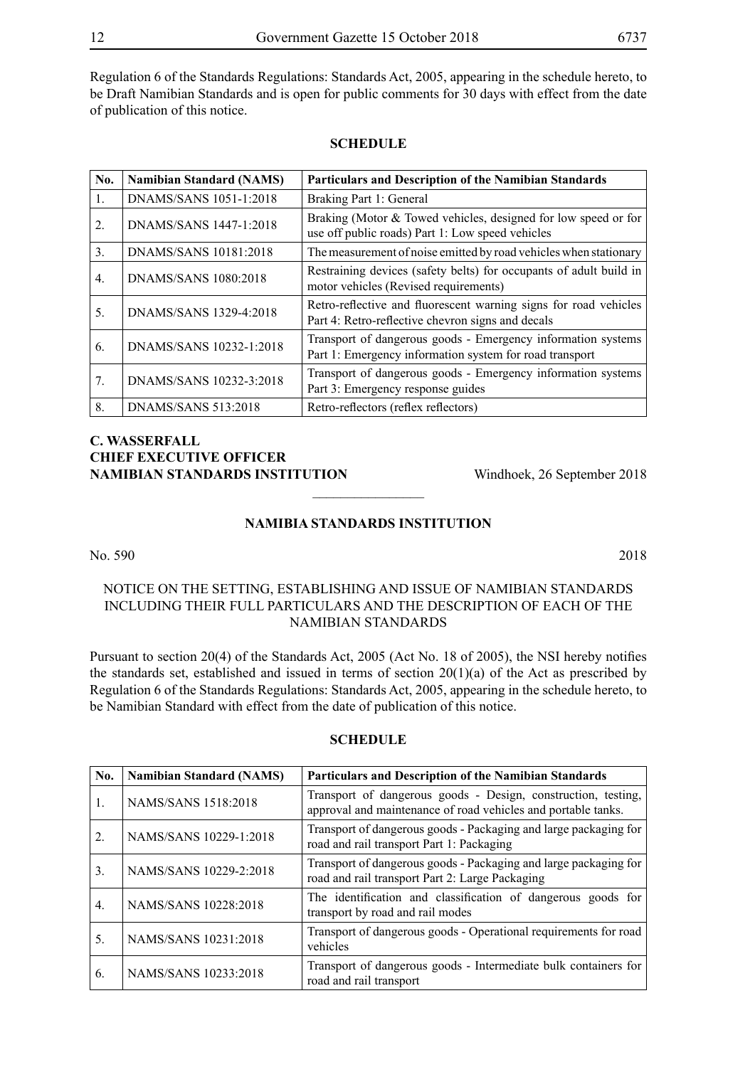Regulation 6 of the Standards Regulations: Standards Act, 2005, appearing in the schedule hereto, to be Draft Namibian Standards and is open for public comments for 30 days with effect from the date of publication of this notice.

| No.              | <b>Namibian Standard (NAMS)</b> | Particulars and Description of the Namibian Standards                                                                   |
|------------------|---------------------------------|-------------------------------------------------------------------------------------------------------------------------|
| $\mathbf{1}$ .   | DNAMS/SANS 1051-1:2018          | Braking Part 1: General                                                                                                 |
| 2.               | DNAMS/SANS 1447-1:2018          | Braking (Motor & Towed vehicles, designed for low speed or for<br>use off public roads) Part 1: Low speed vehicles      |
| 3.               | DNAMS/SANS 10181:2018           | The measurement of noise emitted by road vehicles when stationary                                                       |
| $\overline{4}$ . | DNAMS/SANS 1080:2018            | Restraining devices (safety belts) for occupants of adult build in<br>motor vehicles (Revised requirements)             |
| 5.               | DNAMS/SANS 1329-4:2018          | Retro-reflective and fluorescent warning signs for road vehicles<br>Part 4: Retro-reflective chevron signs and decals   |
| 6.               | DNAMS/SANS 10232-1:2018         | Transport of dangerous goods - Emergency information systems<br>Part 1: Emergency information system for road transport |
| 7.               | DNAMS/SANS 10232-3:2018         | Transport of dangerous goods - Emergency information systems<br>Part 3: Emergency response guides                       |
| 8.               | DNAMS/SANS 513:2018             | Retro-reflectors (reflex reflectors)                                                                                    |

# **SCHEDULE**

# **C. Wasserfall CHIEF EXECUTIVE OFFICER NAMIBIAN STANDARDS INSTITUTION** Windhoek, 26 September 2018

# **NAMIBIA STANDARDS INSTITUTION**

 $\overline{\phantom{a}}$  , where  $\overline{\phantom{a}}$ 

No. 590 2018

# NOTICE ON THE SETTING, ESTABLISHING AND ISSUE OF NAMIBIAN STANDARDS INCLUDING THEIR FULL PARTICULARS AND THE DESCRIPTION OF EACH OF THE NAMIBIAN STANDARDS

Pursuant to section 20(4) of the Standards Act, 2005 (Act No. 18 of 2005), the NSI hereby notifies the standards set, established and issued in terms of section  $20(1)(a)$  of the Act as prescribed by Regulation 6 of the Standards Regulations: Standards Act, 2005, appearing in the schedule hereto, to be Namibian Standard with effect from the date of publication of this notice.

| No.              | <b>Namibian Standard (NAMS)</b> | Particulars and Description of the Namibian Standards                                                                          |
|------------------|---------------------------------|--------------------------------------------------------------------------------------------------------------------------------|
| 1.               | NAMS/SANS 1518:2018             | Transport of dangerous goods - Design, construction, testing,<br>approval and maintenance of road vehicles and portable tanks. |
| $\overline{2}$ . | NAMS/SANS 10229-1:2018          | Transport of dangerous goods - Packaging and large packaging for<br>road and rail transport Part 1: Packaging                  |
| 3.               | NAMS/SANS 10229-2:2018          | Transport of dangerous goods - Packaging and large packaging for<br>road and rail transport Part 2: Large Packaging            |
| $\overline{4}$ . | NAMS/SANS 10228:2018            | The identification and classification of dangerous goods for<br>transport by road and rail modes                               |
| 5.               | NAMS/SANS 10231:2018            | Transport of dangerous goods - Operational requirements for road<br>vehicles                                                   |
| 6.               | NAMS/SANS 10233:2018            | Transport of dangerous goods - Intermediate bulk containers for<br>road and rail transport                                     |

#### **SCHEDULE**